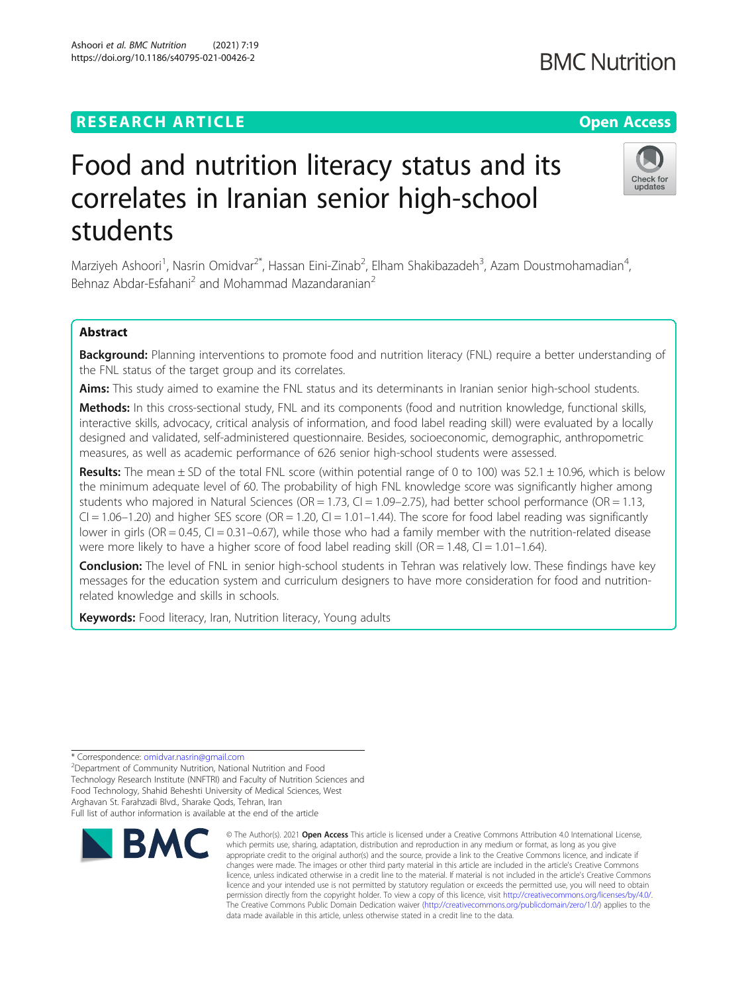## **RESEARCH ARTICLE Example 2014 12:30 The Contract of Contract ACCESS**

# Food and nutrition literacy status and its correlates in Iranian senior high-school students

Marziyeh Ashoori<sup>1</sup>, Nasrin Omidvar<sup>2\*</sup>, Hassan Eini-Zinab<sup>2</sup>, Elham Shakibazadeh<sup>3</sup>, Azam Doustmohamadian<sup>4</sup> , Behnaz Abdar-Esfahani<sup>2</sup> and Mohammad Mazandaranian<sup>2</sup>

### Abstract

Background: Planning interventions to promote food and nutrition literacy (FNL) require a better understanding of the FNL status of the target group and its correlates.

Aims: This study aimed to examine the FNL status and its determinants in Iranian senior high-school students.

Methods: In this cross-sectional study, FNL and its components (food and nutrition knowledge, functional skills, interactive skills, advocacy, critical analysis of information, and food label reading skill) were evaluated by a locally designed and validated, self-administered questionnaire. Besides, socioeconomic, demographic, anthropometric measures, as well as academic performance of 626 senior high-school students were assessed.

Results: The mean  $\pm$  SD of the total FNL score (within potential range of 0 to 100) was 52.1  $\pm$  10.96, which is below the minimum adequate level of 60. The probability of high FNL knowledge score was significantly higher among students who majored in Natural Sciences ( $OR = 1.73$ ,  $Cl = 1.09 - 2.75$ ), had better school performance ( $OR = 1.13$ ,  $CI = 1.06 - 1.20$ ) and higher SES score (OR = 1.20,  $CI = 1.01 - 1.44$ ). The score for food label reading was significantly lower in girls (OR = 0.45, CI = 0.31–0.67), while those who had a family member with the nutrition-related disease were more likely to have a higher score of food label reading skill (OR = 1.48, CI = 1.01–1.64).

**Conclusion:** The level of FNL in senior high-school students in Tehran was relatively low. These findings have key messages for the education system and curriculum designers to have more consideration for food and nutritionrelated knowledge and skills in schools.

Keywords: Food literacy, Iran, Nutrition literacy, Young adults

\* Correspondence: [omidvar.nasrin@gmail.com](mailto:omidvar.nasrin@gmail.com) <sup>2</sup>

<sup>2</sup>Department of Community Nutrition, National Nutrition and Food Technology Research Institute (NNFTRI) and Faculty of Nutrition Sciences and Food Technology, Shahid Beheshti University of Medical Sciences, West Arghavan St. Farahzadi Blvd., Sharake Qods, Tehran, Iran

Full list of author information is available at the end of the article



© The Author(s), 2021 **Open Access** This article is licensed under a Creative Commons Attribution 4.0 International License, which permits use, sharing, adaptation, distribution and reproduction in any medium or format, as long as you give appropriate credit to the original author(s) and the source, provide a link to the Creative Commons licence, and indicate if changes were made. The images or other third party material in this article are included in the article's Creative Commons licence, unless indicated otherwise in a credit line to the material. If material is not included in the article's Creative Commons licence and your intended use is not permitted by statutory regulation or exceeds the permitted use, you will need to obtain permission directly from the copyright holder. To view a copy of this licence, visit [http://creativecommons.org/licenses/by/4.0/.](http://creativecommons.org/licenses/by/4.0/) The Creative Commons Public Domain Dedication waiver [\(http://creativecommons.org/publicdomain/zero/1.0/](http://creativecommons.org/publicdomain/zero/1.0/)) applies to the data made available in this article, unless otherwise stated in a credit line to the data.



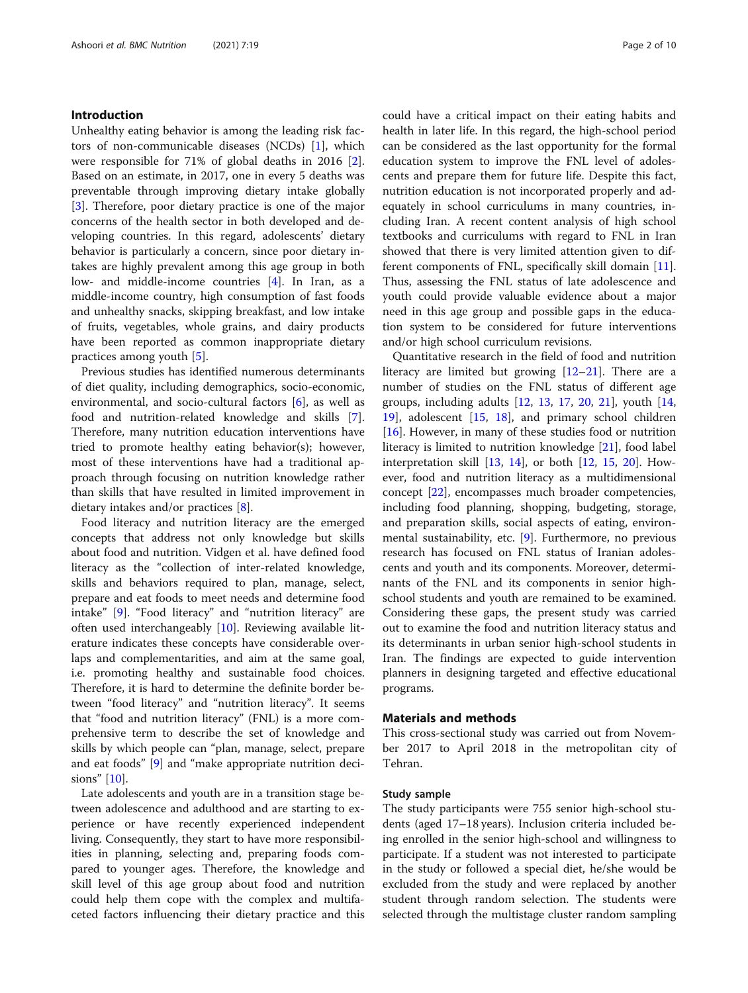#### Introduction

Unhealthy eating behavior is among the leading risk factors of non-communicable diseases (NCDs) [\[1\]](#page-9-0), which were responsible for 71% of global deaths in 2016 [\[2](#page-9-0)]. Based on an estimate, in 2017, one in every 5 deaths was preventable through improving dietary intake globally [[3\]](#page-9-0). Therefore, poor dietary practice is one of the major concerns of the health sector in both developed and developing countries. In this regard, adolescents' dietary behavior is particularly a concern, since poor dietary intakes are highly prevalent among this age group in both low- and middle-income countries [\[4](#page-9-0)]. In Iran, as a middle-income country, high consumption of fast foods and unhealthy snacks, skipping breakfast, and low intake of fruits, vegetables, whole grains, and dairy products have been reported as common inappropriate dietary practices among youth [[5\]](#page-9-0).

Previous studies has identified numerous determinants of diet quality, including demographics, socio-economic, environmental, and socio-cultural factors [[6](#page-9-0)], as well as food and nutrition-related knowledge and skills [\[7](#page-9-0)]. Therefore, many nutrition education interventions have tried to promote healthy eating behavior(s); however, most of these interventions have had a traditional approach through focusing on nutrition knowledge rather than skills that have resulted in limited improvement in dietary intakes and/or practices [\[8](#page-9-0)].

Food literacy and nutrition literacy are the emerged concepts that address not only knowledge but skills about food and nutrition. Vidgen et al. have defined food literacy as the "collection of inter-related knowledge, skills and behaviors required to plan, manage, select, prepare and eat foods to meet needs and determine food intake" [\[9](#page-9-0)]. "Food literacy" and "nutrition literacy" are often used interchangeably [[10](#page-9-0)]. Reviewing available literature indicates these concepts have considerable overlaps and complementarities, and aim at the same goal, i.e. promoting healthy and sustainable food choices. Therefore, it is hard to determine the definite border between "food literacy" and "nutrition literacy". It seems that "food and nutrition literacy" (FNL) is a more comprehensive term to describe the set of knowledge and skills by which people can "plan, manage, select, prepare and eat foods" [\[9](#page-9-0)] and "make appropriate nutrition decisions" [\[10\]](#page-9-0).

Late adolescents and youth are in a transition stage between adolescence and adulthood and are starting to experience or have recently experienced independent living. Consequently, they start to have more responsibilities in planning, selecting and, preparing foods compared to younger ages. Therefore, the knowledge and skill level of this age group about food and nutrition could help them cope with the complex and multifaceted factors influencing their dietary practice and this could have a critical impact on their eating habits and health in later life. In this regard, the high-school period can be considered as the last opportunity for the formal education system to improve the FNL level of adolescents and prepare them for future life. Despite this fact, nutrition education is not incorporated properly and adequately in school curriculums in many countries, including Iran. A recent content analysis of high school textbooks and curriculums with regard to FNL in Iran showed that there is very limited attention given to different components of FNL, specifically skill domain [\[11](#page-9-0)]. Thus, assessing the FNL status of late adolescence and youth could provide valuable evidence about a major need in this age group and possible gaps in the education system to be considered for future interventions and/or high school curriculum revisions.

Quantitative research in the field of food and nutrition literacy are limited but growing  $[12-21]$  $[12-21]$  $[12-21]$  $[12-21]$ . There are a number of studies on the FNL status of different age groups, including adults  $[12, 13, 17, 20, 21]$  $[12, 13, 17, 20, 21]$  $[12, 13, 17, 20, 21]$  $[12, 13, 17, 20, 21]$  $[12, 13, 17, 20, 21]$  $[12, 13, 17, 20, 21]$  $[12, 13, 17, 20, 21]$  $[12, 13, 17, 20, 21]$  $[12, 13, 17, 20, 21]$  $[12, 13, 17, 20, 21]$ , youth  $[14, 12]$  $[14, 12]$  $[14, 12]$ [19\]](#page-9-0), adolescent [[15,](#page-9-0) [18](#page-9-0)], and primary school children [[16\]](#page-9-0). However, in many of these studies food or nutrition literacy is limited to nutrition knowledge [[21\]](#page-9-0), food label interpretation skill  $[13, 14]$  $[13, 14]$  $[13, 14]$  $[13, 14]$ , or both  $[12, 15, 20]$  $[12, 15, 20]$  $[12, 15, 20]$  $[12, 15, 20]$  $[12, 15, 20]$  $[12, 15, 20]$ . However, food and nutrition literacy as a multidimensional concept [[22](#page-9-0)], encompasses much broader competencies, including food planning, shopping, budgeting, storage, and preparation skills, social aspects of eating, environmental sustainability, etc. [\[9](#page-9-0)]. Furthermore, no previous research has focused on FNL status of Iranian adolescents and youth and its components. Moreover, determinants of the FNL and its components in senior highschool students and youth are remained to be examined. Considering these gaps, the present study was carried out to examine the food and nutrition literacy status and its determinants in urban senior high-school students in Iran. The findings are expected to guide intervention planners in designing targeted and effective educational programs.

#### Materials and methods

This cross-sectional study was carried out from November 2017 to April 2018 in the metropolitan city of Tehran.

#### Study sample

The study participants were 755 senior high-school students (aged 17–18 years). Inclusion criteria included being enrolled in the senior high-school and willingness to participate. If a student was not interested to participate in the study or followed a special diet, he/she would be excluded from the study and were replaced by another student through random selection. The students were selected through the multistage cluster random sampling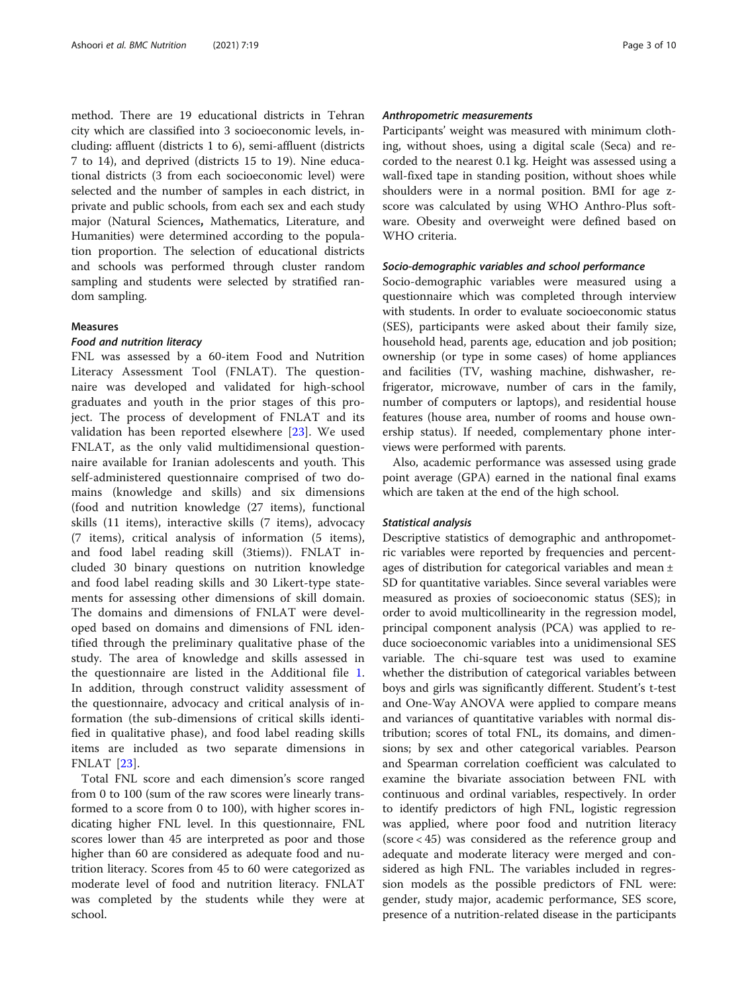method. There are 19 educational districts in Tehran city which are classified into 3 socioeconomic levels, including: affluent (districts 1 to 6), semi-affluent (districts 7 to 14), and deprived (districts 15 to 19). Nine educational districts (3 from each socioeconomic level) were selected and the number of samples in each district, in private and public schools, from each sex and each study major (Natural Sciences, Mathematics, Literature, and Humanities) were determined according to the population proportion. The selection of educational districts and schools was performed through cluster random sampling and students were selected by stratified random sampling.

#### Measures

#### Food and nutrition literacy

FNL was assessed by a 60-item Food and Nutrition Literacy Assessment Tool (FNLAT). The questionnaire was developed and validated for high-school graduates and youth in the prior stages of this project. The process of development of FNLAT and its validation has been reported elsewhere [[23\]](#page-9-0). We used FNLAT, as the only valid multidimensional questionnaire available for Iranian adolescents and youth. This self-administered questionnaire comprised of two domains (knowledge and skills) and six dimensions (food and nutrition knowledge (27 items), functional skills (11 items), interactive skills (7 items), advocacy (7 items), critical analysis of information (5 items), and food label reading skill (3tiems)). FNLAT included 30 binary questions on nutrition knowledge and food label reading skills and 30 Likert-type statements for assessing other dimensions of skill domain. The domains and dimensions of FNLAT were developed based on domains and dimensions of FNL identified through the preliminary qualitative phase of the study. The area of knowledge and skills assessed in the questionnaire are listed in the Additional file [1](#page-8-0). In addition, through construct validity assessment of the questionnaire, advocacy and critical analysis of information (the sub-dimensions of critical skills identified in qualitative phase), and food label reading skills items are included as two separate dimensions in FNLAT [[23\]](#page-9-0).

Total FNL score and each dimension's score ranged from 0 to 100 (sum of the raw scores were linearly transformed to a score from 0 to 100), with higher scores indicating higher FNL level. In this questionnaire, FNL scores lower than 45 are interpreted as poor and those higher than 60 are considered as adequate food and nutrition literacy. Scores from 45 to 60 were categorized as moderate level of food and nutrition literacy. FNLAT was completed by the students while they were at school.

#### Anthropometric measurements

Participants' weight was measured with minimum clothing, without shoes, using a digital scale (Seca) and recorded to the nearest 0.1 kg. Height was assessed using a wall-fixed tape in standing position, without shoes while shoulders were in a normal position. BMI for age zscore was calculated by using WHO Anthro-Plus software. Obesity and overweight were defined based on WHO criteria.

#### Socio-demographic variables and school performance

Socio-demographic variables were measured using a questionnaire which was completed through interview with students. In order to evaluate socioeconomic status (SES), participants were asked about their family size, household head, parents age, education and job position; ownership (or type in some cases) of home appliances and facilities (TV, washing machine, dishwasher, refrigerator, microwave, number of cars in the family, number of computers or laptops), and residential house features (house area, number of rooms and house ownership status). If needed, complementary phone interviews were performed with parents.

Also, academic performance was assessed using grade point average (GPA) earned in the national final exams which are taken at the end of the high school.

#### Statistical analysis

Descriptive statistics of demographic and anthropometric variables were reported by frequencies and percentages of distribution for categorical variables and mean ± SD for quantitative variables. Since several variables were measured as proxies of socioeconomic status (SES); in order to avoid multicollinearity in the regression model, principal component analysis (PCA) was applied to reduce socioeconomic variables into a unidimensional SES variable. The chi-square test was used to examine whether the distribution of categorical variables between boys and girls was significantly different. Student's t-test and One-Way ANOVA were applied to compare means and variances of quantitative variables with normal distribution; scores of total FNL, its domains, and dimensions; by sex and other categorical variables. Pearson and Spearman correlation coefficient was calculated to examine the bivariate association between FNL with continuous and ordinal variables, respectively. In order to identify predictors of high FNL, logistic regression was applied, where poor food and nutrition literacy (score < 45) was considered as the reference group and adequate and moderate literacy were merged and considered as high FNL. The variables included in regression models as the possible predictors of FNL were: gender, study major, academic performance, SES score, presence of a nutrition-related disease in the participants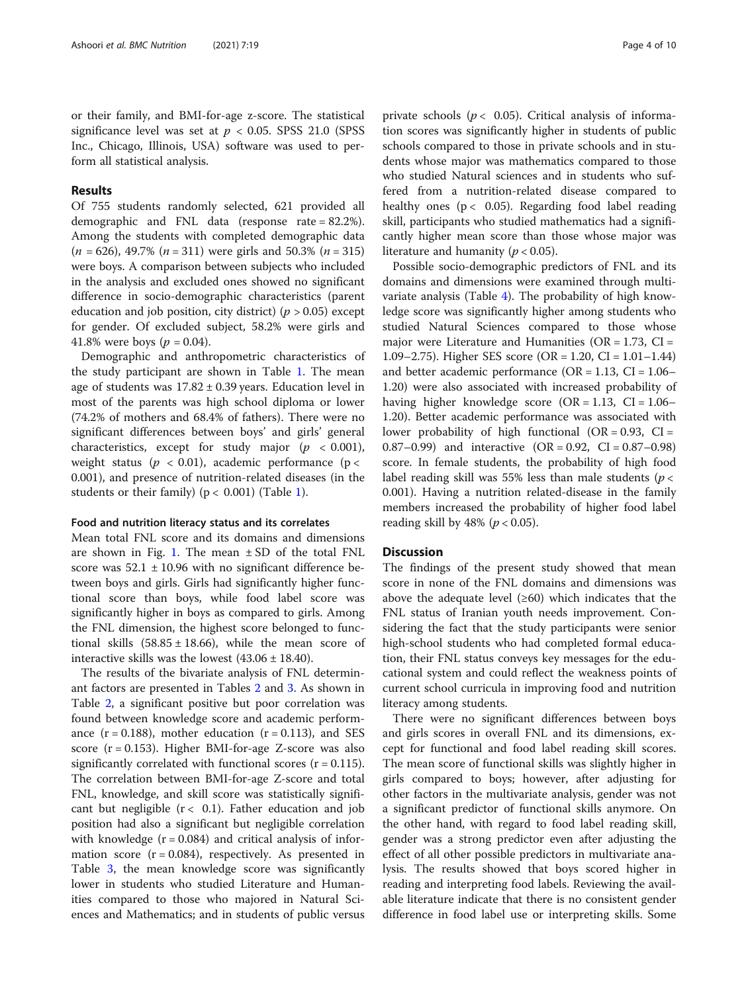or their family, and BMI-for-age z-score. The statistical significance level was set at  $p < 0.05$ . SPSS 21.0 (SPSS Inc., Chicago, Illinois, USA) software was used to perform all statistical analysis.

#### Results

Of 755 students randomly selected, 621 provided all demographic and FNL data (response rate = 82.2%). Among the students with completed demographic data  $(n = 626)$ , 49.7%  $(n = 311)$  were girls and 50.3%  $(n = 315)$ were boys. A comparison between subjects who included in the analysis and excluded ones showed no significant difference in socio-demographic characteristics (parent education and job position, city district) ( $p > 0.05$ ) except for gender. Of excluded subject, 58.2% were girls and 41.8% were boys ( $p = 0.04$ ).

Demographic and anthropometric characteristics of the study participant are shown in Table [1](#page-4-0). The mean age of students was  $17.82 \pm 0.39$  years. Education level in most of the parents was high school diploma or lower (74.2% of mothers and 68.4% of fathers). There were no significant differences between boys' and girls' general characteristics, except for study major ( $p < 0.001$ ), weight status ( $p < 0.01$ ), academic performance ( $p <$ 0.001), and presence of nutrition-related diseases (in the students or their family) ( $p < 0.001$  $p < 0.001$ ) (Table 1).

#### Food and nutrition literacy status and its correlates

Mean total FNL score and its domains and dimensions are shown in Fig. [1](#page-5-0). The mean  $\pm$  SD of the total FNL score was  $52.1 \pm 10.96$  with no significant difference between boys and girls. Girls had significantly higher functional score than boys, while food label score was significantly higher in boys as compared to girls. Among the FNL dimension, the highest score belonged to functional skills  $(58.85 \pm 18.66)$ , while the mean score of interactive skills was the lowest  $(43.06 \pm 18.40)$ .

The results of the bivariate analysis of FNL determinant factors are presented in Tables [2](#page-6-0) and [3.](#page-6-0) As shown in Table [2,](#page-6-0) a significant positive but poor correlation was found between knowledge score and academic performance  $(r = 0.188)$ , mother education  $(r = 0.113)$ , and SES score  $(r = 0.153)$ . Higher BMI-for-age Z-score was also significantly correlated with functional scores  $(r = 0.115)$ . The correlation between BMI-for-age Z-score and total FNL, knowledge, and skill score was statistically significant but negligible  $(r < 0.1)$ . Father education and job position had also a significant but negligible correlation with knowledge  $(r = 0.084)$  and critical analysis of information score  $(r = 0.084)$ , respectively. As presented in Table [3](#page-6-0), the mean knowledge score was significantly lower in students who studied Literature and Humanities compared to those who majored in Natural Sciences and Mathematics; and in students of public versus private schools ( $p < 0.05$ ). Critical analysis of information scores was significantly higher in students of public schools compared to those in private schools and in students whose major was mathematics compared to those who studied Natural sciences and in students who suffered from a nutrition-related disease compared to healthy ones  $(p < 0.05)$ . Regarding food label reading skill, participants who studied mathematics had a significantly higher mean score than those whose major was literature and humanity ( $p < 0.05$ ).

Possible socio-demographic predictors of FNL and its domains and dimensions were examined through multivariate analysis (Table [4](#page-7-0)). The probability of high knowledge score was significantly higher among students who studied Natural Sciences compared to those whose major were Literature and Humanities ( $OR = 1.73$ ,  $CI =$ 1.09–2.75). Higher SES score (OR = 1.20, CI = 1.01–1.44) and better academic performance ( $OR = 1.13$ ,  $CI = 1.06-$ 1.20) were also associated with increased probability of having higher knowledge score  $(OR = 1.13, CI = 1.06-$ 1.20). Better academic performance was associated with lower probability of high functional (OR =  $0.93$ , CI = 0.87–0.99) and interactive  $(OR = 0.92, CI = 0.87$ –0.98) score. In female students, the probability of high food label reading skill was 55% less than male students ( $p <$ 0.001). Having a nutrition related-disease in the family members increased the probability of higher food label reading skill by 48% ( $p < 0.05$ ).

#### **Discussion**

The findings of the present study showed that mean score in none of the FNL domains and dimensions was above the adequate level  $(\geq 60)$  which indicates that the FNL status of Iranian youth needs improvement. Considering the fact that the study participants were senior high-school students who had completed formal education, their FNL status conveys key messages for the educational system and could reflect the weakness points of current school curricula in improving food and nutrition literacy among students.

There were no significant differences between boys and girls scores in overall FNL and its dimensions, except for functional and food label reading skill scores. The mean score of functional skills was slightly higher in girls compared to boys; however, after adjusting for other factors in the multivariate analysis, gender was not a significant predictor of functional skills anymore. On the other hand, with regard to food label reading skill, gender was a strong predictor even after adjusting the effect of all other possible predictors in multivariate analysis. The results showed that boys scored higher in reading and interpreting food labels. Reviewing the available literature indicate that there is no consistent gender difference in food label use or interpreting skills. Some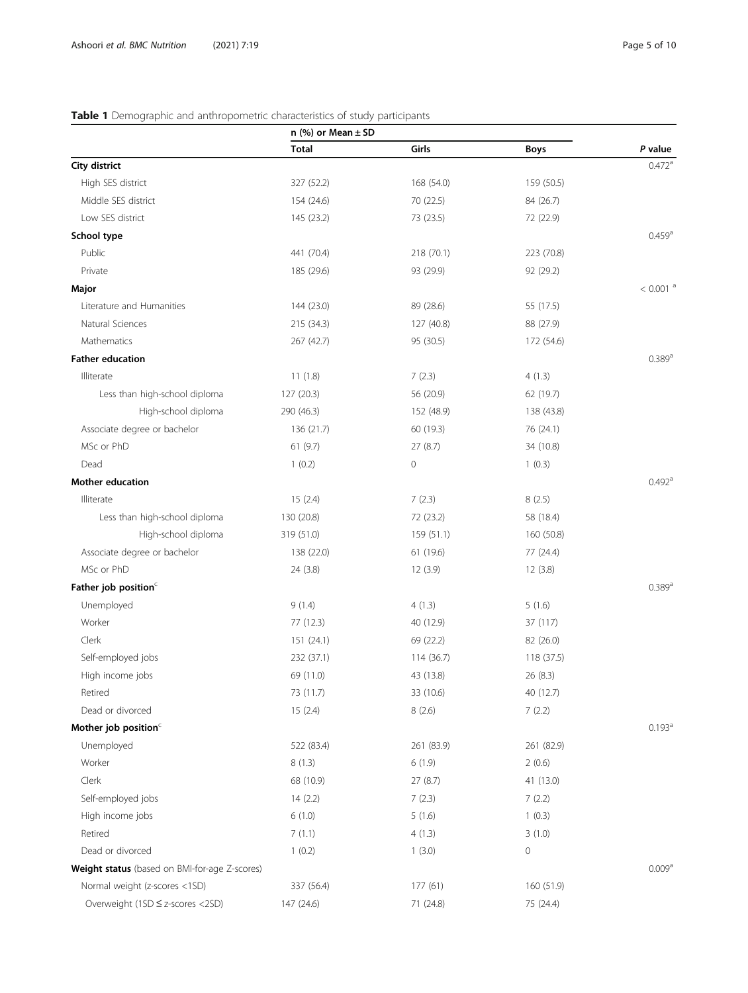#### <span id="page-4-0"></span>Table 1 Demographic and anthropometric characteristics of study participants

|                                               |              | n $(\%)$ or Mean $\pm$ SD |             |                        |  |  |  |
|-----------------------------------------------|--------------|---------------------------|-------------|------------------------|--|--|--|
|                                               | <b>Total</b> | Girls                     | Boys        | P value                |  |  |  |
| City district                                 |              |                           |             | $0.472$ <sup>a</sup>   |  |  |  |
| High SES district                             | 327 (52.2)   | 168 (54.0)                | 159 (50.5)  |                        |  |  |  |
| Middle SES district                           | 154 (24.6)   | 70 (22.5)                 | 84 (26.7)   |                        |  |  |  |
| Low SES district                              | 145 (23.2)   | 73 (23.5)                 | 72 (22.9)   |                        |  |  |  |
| School type                                   |              |                           |             | $0.459$ <sup>a</sup>   |  |  |  |
| Public                                        | 441 (70.4)   | 218 (70.1)                | 223 (70.8)  |                        |  |  |  |
| Private                                       | 185 (29.6)   | 93 (29.9)                 | 92 (29.2)   |                        |  |  |  |
| Major                                         |              |                           |             | $< 0.001$ <sup>a</sup> |  |  |  |
| Literature and Humanities                     | 144 (23.0)   | 89 (28.6)                 | 55 (17.5)   |                        |  |  |  |
| Natural Sciences                              | 215 (34.3)   | 127 (40.8)                | 88 (27.9)   |                        |  |  |  |
| Mathematics                                   | 267 (42.7)   | 95 (30.5)                 | 172 (54.6)  |                        |  |  |  |
| <b>Father education</b>                       |              |                           |             | 0.389a                 |  |  |  |
| Illiterate                                    | 11(1.8)      | 7(2.3)                    | 4(1.3)      |                        |  |  |  |
| Less than high-school diploma                 | 127 (20.3)   | 56 (20.9)                 | 62 (19.7)   |                        |  |  |  |
| High-school diploma                           | 290 (46.3)   | 152 (48.9)                | 138 (43.8)  |                        |  |  |  |
| Associate degree or bachelor                  | 136 (21.7)   | 60 (19.3)                 | 76 (24.1)   |                        |  |  |  |
| MSc or PhD                                    | 61(9.7)      | 27(8.7)                   | 34 (10.8)   |                        |  |  |  |
| Dead                                          | 1(0.2)       | $\mathbf 0$               | 1(0.3)      |                        |  |  |  |
| Mother education                              |              |                           |             | $0.492$ <sup>a</sup>   |  |  |  |
| Illiterate                                    | 15(2.4)      | 7(2.3)                    | 8(2.5)      |                        |  |  |  |
| Less than high-school diploma                 | 130 (20.8)   | 72 (23.2)                 | 58 (18.4)   |                        |  |  |  |
| High-school diploma                           | 319 (51.0)   | 159 (51.1)                | 160 (50.8)  |                        |  |  |  |
| Associate degree or bachelor                  | 138 (22.0)   | 61 (19.6)                 | 77 (24.4)   |                        |  |  |  |
| MSc or PhD                                    | 24 (3.8)     | 12(3.9)                   | 12(3.8)     |                        |  |  |  |
| Father job position <sup>c</sup>              |              |                           |             | $0.389$ <sup>a</sup>   |  |  |  |
| Unemployed                                    | 9(1.4)       | 4(1.3)                    | 5(1.6)      |                        |  |  |  |
| Worker                                        | 77 (12.3)    | 40 (12.9)                 | 37 (117)    |                        |  |  |  |
| Clerk                                         | 151 (24.1)   | 69 (22.2)                 | 82 (26.0)   |                        |  |  |  |
| Self-employed jobs                            | 232 (37.1)   | 114 (36.7)                | 118 (37.5)  |                        |  |  |  |
| High income jobs                              | 69 (11.0)    | 43 (13.8)                 | 26 (8.3)    |                        |  |  |  |
| Retired                                       | 73 (11.7)    | 33 (10.6)                 | 40 (12.7)   |                        |  |  |  |
| Dead or divorced                              | 15(2.4)      | 8(2.6)                    | 7(2.2)      |                        |  |  |  |
| Mother job position <sup>c</sup>              |              |                           |             | 0.193 <sup>a</sup>     |  |  |  |
| Unemployed                                    | 522 (83.4)   | 261 (83.9)                | 261 (82.9)  |                        |  |  |  |
| Worker                                        | 8(1.3)       | 6(1.9)                    | 2(0.6)      |                        |  |  |  |
| Clerk                                         | 68 (10.9)    | 27(8.7)                   | 41 (13.0)   |                        |  |  |  |
| Self-employed jobs                            | 14(2.2)      | 7(2.3)                    | 7(2.2)      |                        |  |  |  |
| High income jobs                              | 6(1.0)       | 5(1.6)                    | 1(0.3)      |                        |  |  |  |
| Retired                                       | 7(1.1)       | 4(1.3)                    | 3(1.0)      |                        |  |  |  |
| Dead or divorced                              | 1(0.2)       | 1(3.0)                    | $\mathbf 0$ |                        |  |  |  |
| Weight status (based on BMI-for-age Z-scores) |              |                           |             | 0.009 <sup>a</sup>     |  |  |  |
| Normal weight (z-scores <1SD)                 | 337 (56.4)   | 177(61)                   | 160 (51.9)  |                        |  |  |  |
| Overweight (1SD ≤ z-scores <2SD)              | 147 (24.6)   | 71 (24.8)                 | 75 (24.4)   |                        |  |  |  |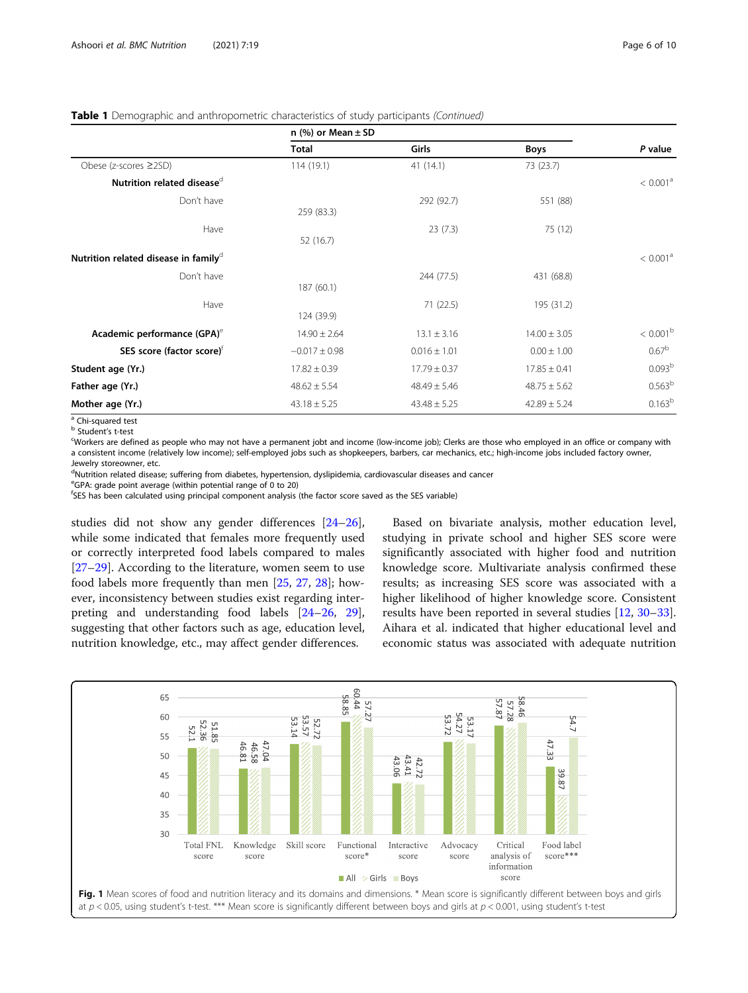#### <span id="page-5-0"></span>Table 1 Demographic and anthropometric characteristics of study participants (Continued)

|                                                  | n $(\%)$ or Mean $\pm$ SD |                  |                  |                      |
|--------------------------------------------------|---------------------------|------------------|------------------|----------------------|
|                                                  | <b>Total</b>              | <b>Girls</b>     | <b>Boys</b>      | P value              |
| Obese (z-scores ≥2SD)                            | 114(19.1)                 | 41 (14.1)        | 73 (23.7)        |                      |
| Nutrition related disease <sup>d</sup>           |                           |                  |                  | < 0.001 <sup>a</sup> |
| Don't have                                       | 259 (83.3)                | 292 (92.7)       | 551 (88)         |                      |
| Have                                             | 52 (16.7)                 | 23(7.3)          | 75 (12)          |                      |
| Nutrition related disease in family <sup>d</sup> |                           |                  |                  | < 0.001 <sup>a</sup> |
| Don't have                                       | 187 (60.1)                | 244 (77.5)       | 431 (68.8)       |                      |
| Have                                             | 124 (39.9)                | 71 (22.5)        | 195 (31.2)       |                      |
| Academic performance (GPA) <sup>e</sup>          | $14.90 \pm 2.64$          | $13.1 \pm 3.16$  | $14.00 \pm 3.05$ | $< 0.001^{\rm b}$    |
| SES score (factor score) <sup>†</sup>            | $-0.017 \pm 0.98$         | $0.016 \pm 1.01$ | $0.00 \pm 1.00$  | 0.67 <sup>b</sup>    |
| Student age (Yr.)                                | $17.82 \pm 0.39$          | $17.79 \pm 0.37$ | $17.85 \pm 0.41$ | 0.093 <sup>b</sup>   |
| Father age (Yr.)                                 | $48.62 \pm 5.54$          | $48.49 \pm 5.46$ | $48.75 \pm 5.62$ | 0.563 <sup>b</sup>   |
| Mother age (Yr.)                                 | $43.18 \pm 5.25$          | $43.48 \pm 5.25$ | $42.89 \pm 5.24$ | $0.163^{b}$          |

<sup>a</sup> Chi-squared test

**b** Student's t-test

Workers are defined as people who may not have a permanent jobt and income (low-income job); Clerks are those who employed in an office or company with a consistent income (relatively low income); self-employed jobs such as shopkeepers, barbers, car mechanics, etc.; high-income jobs included factory owner, Jewelry storeowner, etc.

<sup>d</sup>Nutrition related disease; suffering from diabetes, hypertension, dyslipidemia, cardiovascular diseases and cancer

e GPA: grade point average (within potential range of 0 to 20)

f SES has been calculated using principal component analysis (the factor score saved as the SES variable)

studies did not show any gender differences [[24](#page-9-0)–[26](#page-9-0)], while some indicated that females more frequently used or correctly interpreted food labels compared to males [[27](#page-9-0)–[29](#page-9-0)]. According to the literature, women seem to use food labels more frequently than men [\[25](#page-9-0), [27,](#page-9-0) [28\]](#page-9-0); however, inconsistency between studies exist regarding interpreting and understanding food labels [\[24](#page-9-0)–[26,](#page-9-0) [29](#page-9-0)], suggesting that other factors such as age, education level, nutrition knowledge, etc., may affect gender differences.

Based on bivariate analysis, mother education level, studying in private school and higher SES score were significantly associated with higher food and nutrition knowledge score. Multivariate analysis confirmed these results; as increasing SES score was associated with a higher likelihood of higher knowledge score. Consistent results have been reported in several studies [[12](#page-9-0), [30](#page-9-0)–[33](#page-9-0)]. Aihara et al. indicated that higher educational level and economic status was associated with adequate nutrition

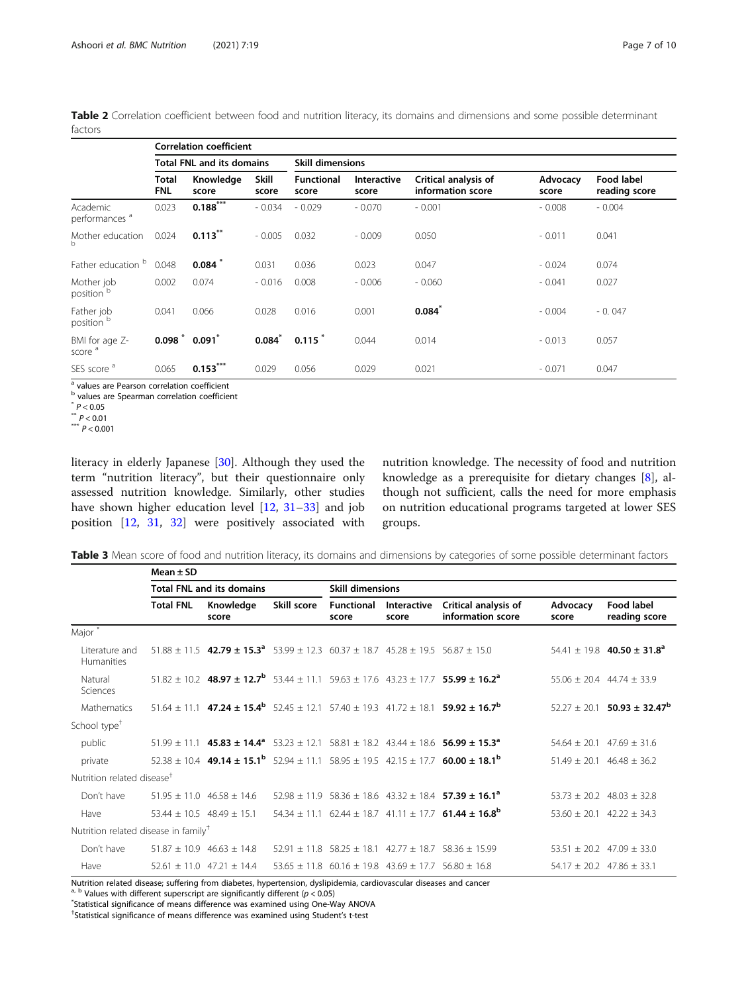<span id="page-6-0"></span>Table 2 Correlation coefficient between food and nutrition literacy, its domains and dimensions and some possible determinant factors

|                                       | <b>Correlation coefficient</b>   |                    |                       |                            |                      |                                           |                   |                             |
|---------------------------------------|----------------------------------|--------------------|-----------------------|----------------------------|----------------------|-------------------------------------------|-------------------|-----------------------------|
|                                       | <b>Total FNL and its domains</b> |                    |                       | <b>Skill dimensions</b>    |                      |                                           |                   |                             |
|                                       | Total<br>FNL                     | Knowledge<br>score | <b>Skill</b><br>score | <b>Functional</b><br>score | Interactive<br>score | Critical analysis of<br>information score | Advocacy<br>score | Food label<br>reading score |
| Academic<br>performances <sup>a</sup> | 0.023                            | $0.188***$         | $-0.034$              | $-0.029$                   | $-0.070$             | $-0.001$                                  | $-0.008$          | $-0.004$                    |
| Mother education<br>b                 | 0.024                            | $0.113***$         | $-0.005$              | 0.032                      | $-0.009$             | 0.050                                     | $-0.011$          | 0.041                       |
| Father education                      | 0.048                            | 0.084              | 0.031                 | 0.036                      | 0.023                | 0.047                                     | $-0.024$          | 0.074                       |
| Mother job<br>position <sup>b</sup>   | 0.002                            | 0.074              | $-0.016$              | 0.008                      | $-0.006$             | $-0.060$                                  | $-0.041$          | 0.027                       |
| Father job<br>position <sup>b</sup>   | 0.041                            | 0.066              | 0.028                 | 0.016                      | 0.001                | $0.084^{*}$                               | $-0.004$          | $-0.047$                    |
| BMI for age Z-<br>score <sup>a</sup>  | $0.098$ $*$                      | 0.091              | $0.084^{*}$           | 0.115                      | 0.044                | 0.014                                     | $-0.013$          | 0.057                       |
| SES score <sup>a</sup>                | 0.065                            | $0.153***$         | 0.029                 | 0.056                      | 0.029                | 0.021                                     | $-0.071$          | 0.047                       |

<sup>a</sup> values are Pearson correlation coefficient

b values are Spearman correlation coefficient

values are<br>
\*  $P < 0.05$ <br>
\*\*  $P < 0.01$ <br>
\*\*\*  $P < 0.001$ 

literacy in elderly Japanese [[30\]](#page-9-0). Although they used the term "nutrition literacy", but their questionnaire only assessed nutrition knowledge. Similarly, other studies have shown higher education level [[12,](#page-9-0) [31](#page-9-0)–[33](#page-9-0)] and job position [\[12,](#page-9-0) [31](#page-9-0), [32](#page-9-0)] were positively associated with

nutrition knowledge. The necessity of food and nutrition knowledge as a prerequisite for dietary changes [[8\]](#page-9-0), although not sufficient, calls the need for more emphasis on nutrition educational programs targeted at lower SES groups.

Table 3 Mean score of food and nutrition literacy, its domains and dimensions by categories of some possible determinant factors

|                                                  | Mean $\pm$ SD    |                                                                                                                                 |             |                                                    |                      |                                                                                                                                                  |                             |                                             |  |
|--------------------------------------------------|------------------|---------------------------------------------------------------------------------------------------------------------------------|-------------|----------------------------------------------------|----------------------|--------------------------------------------------------------------------------------------------------------------------------------------------|-----------------------------|---------------------------------------------|--|
|                                                  |                  | <b>Total FNL and its domains</b>                                                                                                |             | <b>Skill dimensions</b>                            |                      |                                                                                                                                                  |                             |                                             |  |
|                                                  | <b>Total FNL</b> | Knowledge<br>score                                                                                                              | Skill score | <b>Functional</b><br>score                         | Interactive<br>score | Critical analysis of<br>information score                                                                                                        | Advocacy<br>score           | Food label<br>reading score                 |  |
| Major*                                           |                  |                                                                                                                                 |             |                                                    |                      |                                                                                                                                                  |                             |                                             |  |
| Literature and<br>Humanities                     |                  | $51.88 \pm 11.5$ 42.79 $\pm$ 15.3 <sup>a</sup> 53.99 $\pm$ 12.3 60.37 $\pm$ 18.7 45.28 $\pm$ 19.5 56.87 $\pm$ 15.0              |             |                                                    |                      |                                                                                                                                                  |                             | $54.41 \pm 19.8$ 40.50 ± 31.8 <sup>a</sup>  |  |
| Natural<br>Sciences                              |                  | $51.82 \pm 10.2$ 48.97 ± 12.7 <sup>b</sup> 53.44 ± 11.1 59.63 ± 17.6 43.23 ± 17.7 55.99 ± 16.2 <sup>a</sup>                     |             |                                                    |                      |                                                                                                                                                  |                             | $55.06 + 20.4$ 44.74 + 33.9                 |  |
| Mathematics                                      |                  |                                                                                                                                 |             |                                                    |                      | $51.64 \pm 11.1$ 47.24 $\pm$ 15.4 <sup>b</sup> 52.45 $\pm$ 12.1 57.40 $\pm$ 19.3 41.72 $\pm$ 18.1 <b>59.92 <math>\pm</math> 16.7<sup>b</sup></b> |                             | $52.27 \pm 20.1$ 50.93 ± 32.47 <sup>b</sup> |  |
| School type <sup>+</sup>                         |                  |                                                                                                                                 |             |                                                    |                      |                                                                                                                                                  |                             |                                             |  |
| public                                           |                  | $51.99 \pm 11.1$ 45.83 $\pm$ 14.4 <sup>a</sup> 53.23 $\pm$ 12.1 58.81 $\pm$ 18.2 43.44 $\pm$ 18.6 56.99 $\pm$ 15.3 <sup>a</sup> |             |                                                    |                      |                                                                                                                                                  |                             | $54.64 + 20.1$ $47.69 + 31.6$               |  |
| private                                          |                  | $52.38 \pm 10.4$ 49.14 $\pm$ 15.1 <sup>b</sup> 52.94 $\pm$ 11.1 58.95 $\pm$ 19.5 42.15 $\pm$ 17.7 60.00 $\pm$ 18.1 <sup>b</sup> |             |                                                    |                      |                                                                                                                                                  |                             | $51.49 \pm 20.1$ 46.48 $\pm$ 36.2           |  |
| Nutrition related disease <sup>†</sup>           |                  |                                                                                                                                 |             |                                                    |                      |                                                                                                                                                  |                             |                                             |  |
| Don't have                                       |                  | $51.95 \pm 11.0$ 46.58 $\pm$ 14.6                                                                                               |             |                                                    |                      | $52.98 \pm 11.9$ 58.36 $\pm$ 18.6 43.32 $\pm$ 18.4 <b>57.39 <math>\pm</math> 16.1<sup>a</sup></b>                                                |                             | $53.73 \pm 20.2$ 48.03 $\pm$ 32.8           |  |
| Have                                             |                  | $53.44 \pm 10.5$ 48.49 ± 15.1                                                                                                   |             |                                                    |                      | 54.34 ± 11.1 62.44 ± 18.7 41.11 ± 17.7 <b>61.44 ± 16.8<sup>b</sup></b>                                                                           |                             | $53.60 + 20.1$ $42.22 + 34.3$               |  |
| Nutrition related disease in family <sup>†</sup> |                  |                                                                                                                                 |             |                                                    |                      |                                                                                                                                                  |                             |                                             |  |
| Don't have                                       |                  | $51.87 \pm 10.9$ 46.63 $\pm$ 14.8                                                                                               |             |                                                    |                      | $52.91 \pm 11.8$ 58.25 $\pm$ 18.1 42.77 $\pm$ 18.7 58.36 $\pm$ 15.99                                                                             |                             | $53.51 \pm 20.2$ 47.09 $\pm$ 33.0           |  |
| Have                                             |                  | $52.61 + 11.0$ $47.21 + 14.4$                                                                                                   |             | $53.65 \pm 11.8$ 60.16 $\pm$ 19.8 43.69 $\pm$ 17.7 |                      | $56.80 + 16.8$                                                                                                                                   | $54.17 + 20.2$ 47.86 + 33.1 |                                             |  |

Nutrition related disease; suffering from diabetes, hypertension, dyslipidemia, cardiovascular diseases and cancer

<sup>a, b</sup> Values with different superscript are significantly different ( $p < 0.05$ )

Statistical significance of means difference was examined using One-Way ANOVA

† Statistical significance of means difference was examined using Student's t-test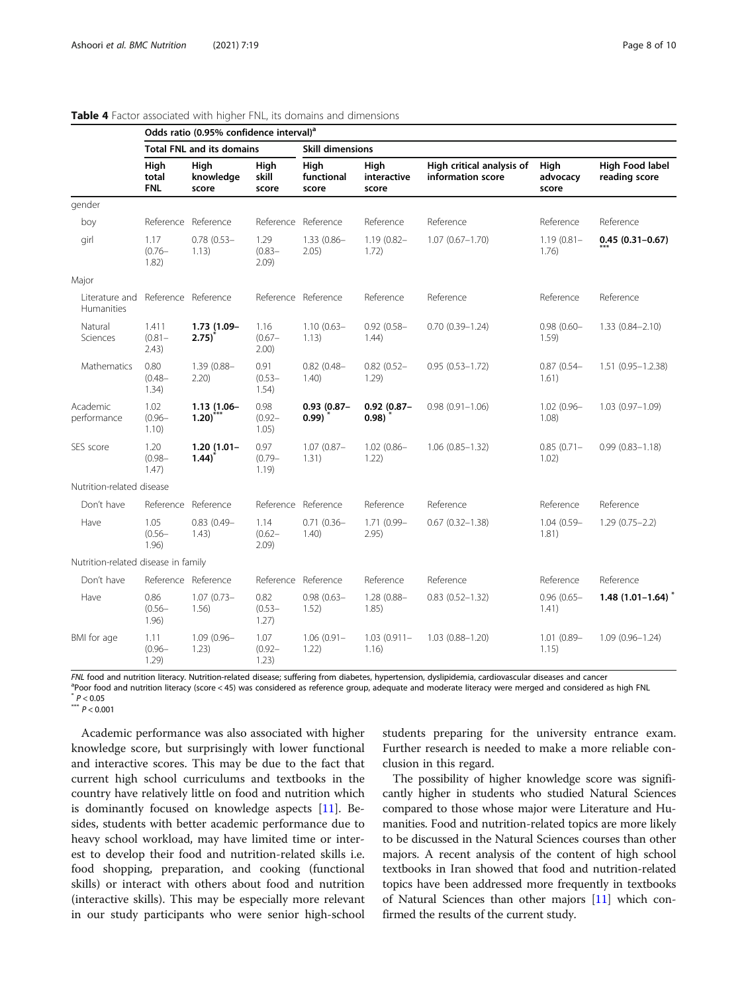|                                                  | Odds ratio (0.95% confidence interval) <sup>a</sup> |                                      |                            |                             |                              |                                                |                           |                                  |  |
|--------------------------------------------------|-----------------------------------------------------|--------------------------------------|----------------------------|-----------------------------|------------------------------|------------------------------------------------|---------------------------|----------------------------------|--|
|                                                  |                                                     | <b>Total FNL and its domains</b>     |                            | <b>Skill dimensions</b>     |                              |                                                |                           |                                  |  |
|                                                  | High<br>total<br><b>FNL</b>                         | High<br>knowledge<br>score           | High<br>skill<br>score     | High<br>functional<br>score | High<br>interactive<br>score | High critical analysis of<br>information score | High<br>advocacy<br>score | High Food label<br>reading score |  |
| gender                                           |                                                     |                                      |                            |                             |                              |                                                |                           |                                  |  |
| boy                                              |                                                     | Reference Reference                  | Reference                  | Reference                   | Reference                    | Reference                                      | Reference                 | Reference                        |  |
| girl                                             | 1.17<br>$(0.76 -$<br>1.82)                          | $0.78(0.53 -$<br>1.13)               | 1.29<br>$(0.83 -$<br>2.09  | $1.33(0.86 -$<br>2.05)      | $1.19(0.82 -$<br>1.72)       | $1.07(0.67 - 1.70)$                            | $1.19(0.81 -$<br>1.76)    | $0.45(0.31 - 0.67)$              |  |
| Major                                            |                                                     |                                      |                            |                             |                              |                                                |                           |                                  |  |
| Literature and Reference Reference<br>Humanities |                                                     |                                      |                            | Reference Reference         | Reference                    | Reference                                      | Reference                 | Reference                        |  |
| Natural<br>Sciences                              | 1.411<br>$(0.81 -$<br>2.43)                         | 1.73 (1.09-<br>$2.75$ <sup>*</sup>   | 1.16<br>$(0.67 -$<br>2.00) | $1.10(0.63 -$<br>1.13)      | $0.92(0.58 -$<br>1.44)       | $0.70(0.39 - 1.24)$                            | $0.98(0.60 -$<br>1.59)    | $1.33(0.84 - 2.10)$              |  |
| Mathematics                                      | 0.80<br>$(0.48 -$<br>1.34)                          | 1.39 (0.88-<br>$2.20$ )              | 0.91<br>$(0.53 -$<br>1.54) | $0.82$ (0.48-<br>1.40)      | $0.82(0.52 -$<br>1.29)       | $0.95(0.53 - 1.72)$                            | $0.87$ (0.54-<br>1.61)    | $1.51(0.95 - 1.2.38)$            |  |
| Academic<br>performance                          | 1.02<br>$(0.96 -$<br>1.10)                          | 1.13 (1.06-<br>$1.20$ <sup>***</sup> | 0.98<br>$(0.92 -$<br>1.05) | $0.93(0.87 -$<br>0.99)      | $0.92(0.87 -$<br>0.98)       | $0.98(0.91 - 1.06)$                            | $1.02(0.96 -$<br>1.08)    | $1.03(0.97 - 1.09)$              |  |
| SES score                                        | 1.20<br>$(0.98 -$<br>1.47)                          | $1.20(1.01 -$<br>$1.44$ )            | 0.97<br>$(0.79 -$<br>1.19) | $1.07(0.87 -$<br>1.31)      | $1.02(0.86 -$<br>1.22)       | $1.06(0.85 - 1.32)$                            | $0.85(0.71 -$<br>1.02)    | $0.99(0.83 - 1.18)$              |  |
| Nutrition-related disease                        |                                                     |                                      |                            |                             |                              |                                                |                           |                                  |  |
| Don't have                                       |                                                     | Reference Reference                  |                            | Reference Reference         | Reference                    | Reference                                      | Reference                 | Reference                        |  |
| Have                                             | 1.05<br>$(0.56 -$<br>1.96)                          | $0.83(0.49 -$<br>1.43)               | 1.14<br>$(0.62 -$<br>2.09) | $0.71(0.36 -$<br>1.40)      | 1.71 (0.99-<br>2.95)         | $0.67$ $(0.32 - 1.38)$                         | $1.04(0.59 -$<br>1.81)    | $1.29(0.75 - 2.2)$               |  |
| Nutrition-related disease in family              |                                                     |                                      |                            |                             |                              |                                                |                           |                                  |  |
| Don't have                                       |                                                     | Reference Reference                  |                            | Reference Reference         | Reference                    | Reference                                      | Reference                 | Reference                        |  |
| Have                                             | 0.86<br>$(0.56 -$<br>1.96)                          | $1.07(0.73 -$<br>1.56)               | 0.82<br>$(0.53 -$<br>1.27) | $0.98(0.63 -$<br>1.52)      | 1.28 (0.88-<br>1.85)         | $0.83$ $(0.52 - 1.32)$                         | $0.96(0.65 -$<br>1.41)    | $1.48(1.01 - 1.64)^*$            |  |
| BMI for age                                      | 1.11<br>$(0.96 -$<br>1.29)                          | $1.09(0.96 -$<br>1.23)               | 1.07<br>$(0.92 -$<br>1.23) | $1.06(0.91 -$<br>1.22)      | $1.03(0.911 -$<br>1.16)      | $1.03(0.88 - 1.20)$                            | $1.01(0.89 -$<br>1.15)    | $1.09(0.96 - 1.24)$              |  |

#### <span id="page-7-0"></span>Table 4 Factor associated with higher FNL, its domains and dimensions

FNL food and nutrition literacy. Nutrition-related disease; suffering from diabetes, hypertension, dyslipidemia, cardiovascular diseases and cancer

 $^{\text{a}}$ Poor food and nutrition literacy (score < 45) was considered as reference group, adequate and moderate literacy were merged and considered as high FNL<br>\* P < 0.05

 $*** P < 0.001$ 

Academic performance was also associated with higher knowledge score, but surprisingly with lower functional and interactive scores. This may be due to the fact that current high school curriculums and textbooks in the country have relatively little on food and nutrition which is dominantly focused on knowledge aspects [[11](#page-9-0)]. Besides, students with better academic performance due to heavy school workload, may have limited time or interest to develop their food and nutrition-related skills i.e. food shopping, preparation, and cooking (functional skills) or interact with others about food and nutrition (interactive skills). This may be especially more relevant in our study participants who were senior high-school

students preparing for the university entrance exam. Further research is needed to make a more reliable conclusion in this regard.

The possibility of higher knowledge score was significantly higher in students who studied Natural Sciences compared to those whose major were Literature and Humanities. Food and nutrition-related topics are more likely to be discussed in the Natural Sciences courses than other majors. A recent analysis of the content of high school textbooks in Iran showed that food and nutrition-related topics have been addressed more frequently in textbooks of Natural Sciences than other majors [\[11\]](#page-9-0) which confirmed the results of the current study.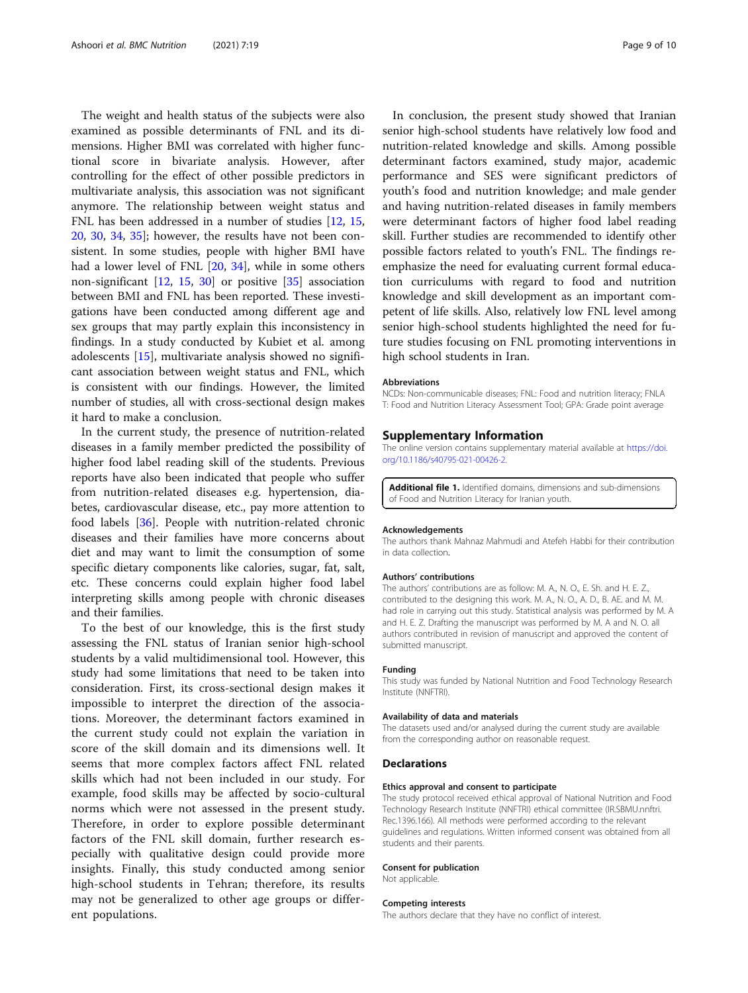<span id="page-8-0"></span>The weight and health status of the subjects were also examined as possible determinants of FNL and its dimensions. Higher BMI was correlated with higher functional score in bivariate analysis. However, after controlling for the effect of other possible predictors in multivariate analysis, this association was not significant anymore. The relationship between weight status and FNL has been addressed in a number of studies [\[12,](#page-9-0) [15](#page-9-0), [20,](#page-9-0) [30](#page-9-0), [34,](#page-9-0) [35](#page-9-0)]; however, the results have not been consistent. In some studies, people with higher BMI have had a lower level of FNL [\[20](#page-9-0), [34\]](#page-9-0), while in some others non-significant [[12,](#page-9-0) [15,](#page-9-0) [30](#page-9-0)] or positive [\[35](#page-9-0)] association between BMI and FNL has been reported. These investigations have been conducted among different age and sex groups that may partly explain this inconsistency in findings. In a study conducted by Kubiet et al. among adolescents [[15\]](#page-9-0), multivariate analysis showed no significant association between weight status and FNL, which is consistent with our findings. However, the limited number of studies, all with cross-sectional design makes it hard to make a conclusion.

In the current study, the presence of nutrition-related diseases in a family member predicted the possibility of higher food label reading skill of the students. Previous reports have also been indicated that people who suffer from nutrition-related diseases e.g. hypertension, diabetes, cardiovascular disease, etc., pay more attention to food labels [\[36\]](#page-9-0). People with nutrition-related chronic diseases and their families have more concerns about diet and may want to limit the consumption of some specific dietary components like calories, sugar, fat, salt, etc. These concerns could explain higher food label interpreting skills among people with chronic diseases and their families.

To the best of our knowledge, this is the first study assessing the FNL status of Iranian senior high-school students by a valid multidimensional tool. However, this study had some limitations that need to be taken into consideration. First, its cross-sectional design makes it impossible to interpret the direction of the associations. Moreover, the determinant factors examined in the current study could not explain the variation in score of the skill domain and its dimensions well. It seems that more complex factors affect FNL related skills which had not been included in our study. For example, food skills may be affected by socio-cultural norms which were not assessed in the present study. Therefore, in order to explore possible determinant factors of the FNL skill domain, further research especially with qualitative design could provide more insights. Finally, this study conducted among senior high-school students in Tehran; therefore, its results may not be generalized to other age groups or different populations.

In conclusion, the present study showed that Iranian senior high-school students have relatively low food and nutrition-related knowledge and skills. Among possible determinant factors examined, study major, academic performance and SES were significant predictors of youth's food and nutrition knowledge; and male gender and having nutrition-related diseases in family members were determinant factors of higher food label reading skill. Further studies are recommended to identify other possible factors related to youth's FNL. The findings reemphasize the need for evaluating current formal education curriculums with regard to food and nutrition knowledge and skill development as an important competent of life skills. Also, relatively low FNL level among senior high-school students highlighted the need for future studies focusing on FNL promoting interventions in high school students in Iran.

#### **Abbreviations**

NCDs: Non-communicable diseases; FNL: Food and nutrition literacy; FNLA T: Food and Nutrition Literacy Assessment Tool; GPA: Grade point average

#### Supplementary Information

The online version contains supplementary material available at [https://doi.](https://doi.org/10.1186/s40795-021-00426-2) [org/10.1186/s40795-021-00426-2.](https://doi.org/10.1186/s40795-021-00426-2)

Additional file 1. Identified domains, dimensions and sub-dimensions of Food and Nutrition Literacy for Iranian youth.

#### Acknowledgements

The authors thank Mahnaz Mahmudi and Atefeh Habbi for their contribution in data collection.

#### Authors' contributions

The authors' contributions are as follow: M. A., N. O., E. Sh. and H. E. Z., contributed to the designing this work. M. A., N. O., A. D., B. AE. and M. M. had role in carrying out this study. Statistical analysis was performed by M. A and H. E. Z. Drafting the manuscript was performed by M. A and N. O. all authors contributed in revision of manuscript and approved the content of submitted manuscript.

#### Funding

This study was funded by National Nutrition and Food Technology Research Institute (NNFTRI).

#### Availability of data and materials

The datasets used and/or analysed during the current study are available from the corresponding author on reasonable request.

#### Declarations

#### Ethics approval and consent to participate

The study protocol received ethical approval of National Nutrition and Food Technology Research Institute (NNFTRI) ethical committee (IR.SBMU.nnftri. Rec.1396.166). All methods were performed according to the relevant guidelines and regulations. Written informed consent was obtained from all students and their parents.

#### Consent for publication

Not applicable.

#### Competing interests

The authors declare that they have no conflict of interest.